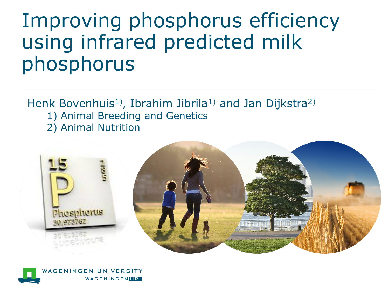# Improving phosphorus efficiency using infrared predicted milk phosphorus

Henk Bovenhuis<sup>1</sup>), Ibrahim Jibrila<sup>1</sup> and Jan Dijkstra<sup>2)</sup>

- 1) Animal Breeding and Genetics
- 2) Animal Nutrition



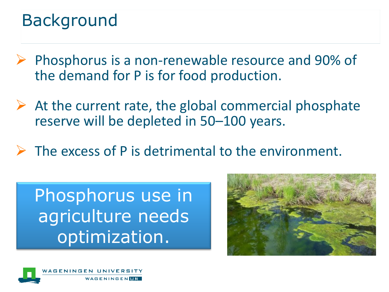## Background

- ➢ Phosphorus is a non-renewable resource and 90% of the demand for P is for food production.
- $\triangleright$  At the current rate, the global commercial phosphate reserve will be depleted in 50–100 years.
- $\triangleright$  The excess of P is detrimental to the environment.

Phosphorus use in agriculture needs optimization.



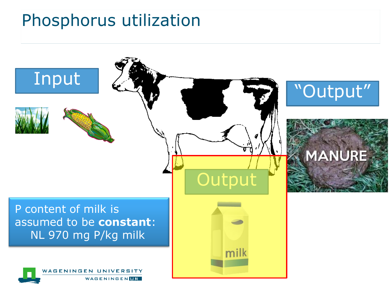## Phosphorus utilization

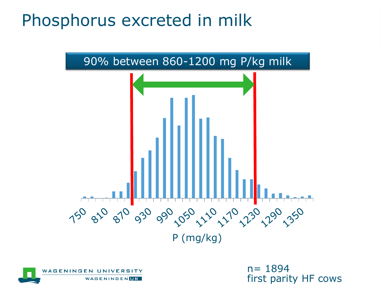## Phosphorus excreted in milk





n= 1894 first parity HF cows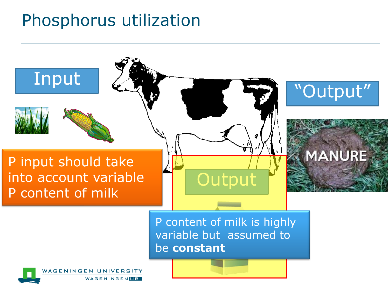## Phosphorus utilization

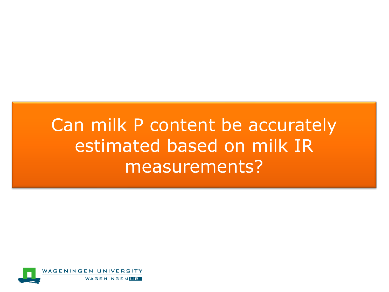## Can milk P content be accurately estimated based on milk IR measurements?

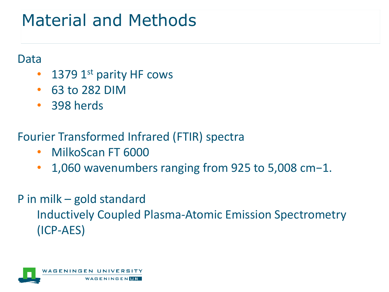## Material and Methods

#### Data

- 1379  $1<sup>st</sup>$  parity HF cows
- 63 to 282 DIM
- 398 herds

#### Fourier Transformed Infrared (FTIR) spectra

- MilkoScan FT 6000
- 1,060 wavenumbers ranging from 925 to 5,008 cm−1.

### P in milk – gold standard Inductively Coupled Plasma-Atomic Emission Spectrometry (ICP-AES)

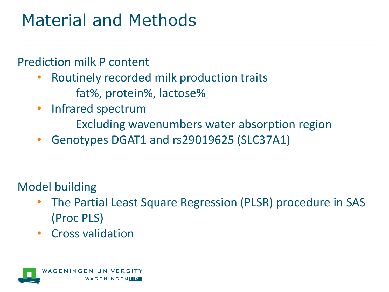## Material and Methods

Prediction milk P content

- Routinely recorded milk production traits fat%, protein%, lactose%
- Infrared spectrum
	- Excluding wavenumbers water absorption region
- Genotypes DGAT1 and rs29019625 (SLC37A1)

Model building

- The Partial Least Square Regression (PLSR) procedure in SAS (Proc PLS)
- Cross validation

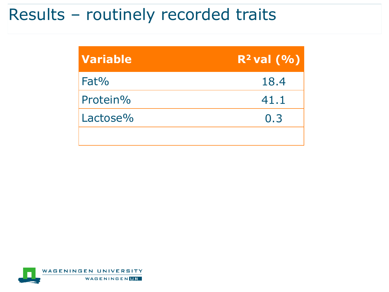### Results – routinely recorded traits

| <b>Variable</b> | $R^2$ val $(% )$ |
|-----------------|------------------|
| Fat%            | 18.4             |
| Protein%        | 41.1             |
| Lactose%        | 0.3              |
|                 |                  |

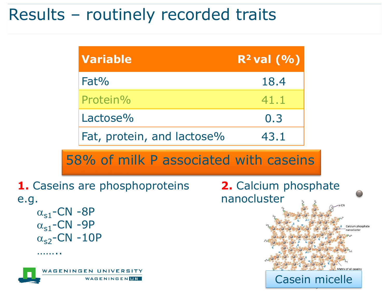### Results – routinely recorded traits

| <b>Variable</b>            | $R^2$ val $(% )$ |
|----------------------------|------------------|
| Fat%                       | 18.4             |
| Protein%                   | 41.1             |
| Lactose%                   | 0.3              |
| Fat, protein, and lactose% | 43.1             |

#### 58% of milk P associated with caseins



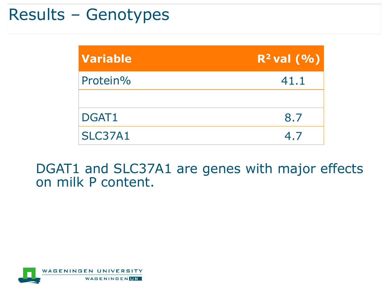### Results – Genotypes

| <b>Variable</b> | $R^2$ val $(% )$ |
|-----------------|------------------|
| Protein%        | 41.1             |
|                 |                  |
| DGAT1           | 8.7              |
| <b>SLC37A1</b>  | 4.7              |

DGAT1 and SLC37A1 are genes with major effects on milk P content.

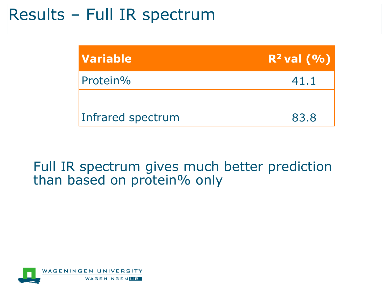### Results – Full IR spectrum

| <b>Variable</b>   | $R^2$ val $(9/6)$ |
|-------------------|-------------------|
| Protein%          | 41.1              |
|                   |                   |
| Infrared spectrum | 83.8              |

#### Full IR spectrum gives much better prediction than based on protein% only

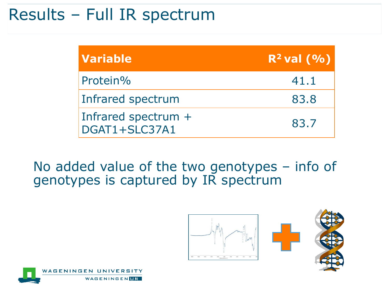### Results – Full IR spectrum

| <b>Variable</b>                      | $R^2$ val $(9/6)$ |
|--------------------------------------|-------------------|
| Protein%                             | 41.1              |
| Infrared spectrum                    | 83.8              |
| Infrared spectrum +<br>DGAT1+SLC37A1 | 83.7              |

No added value of the two genotypes – info of genotypes is captured by IR spectrum



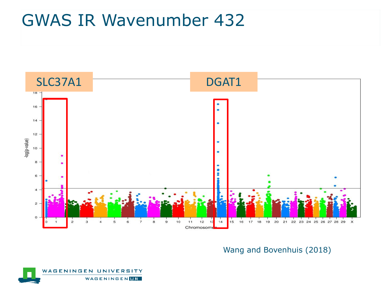## GWAS IR Wavenumber 432



Wang and Bovenhuis (2018)

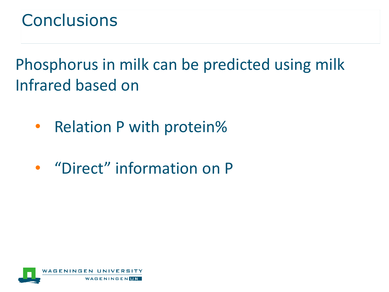## **Conclusions**

Phosphorus in milk can be predicted using milk Infrared based on

- Relation P with protein%
- "Direct" information on P

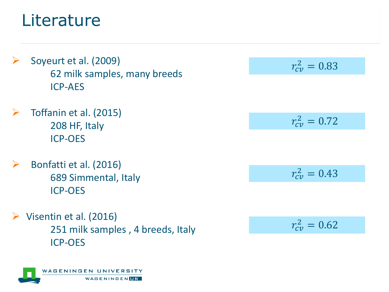## **Literature**

- $\triangleright$  Soyeurt et al. (2009) 62 milk samples, many breeds ICP-AES
- ➢ Toffanin et al. (2015) 208 HF, Italy ICP-OES
- $\triangleright$  Bonfatti et al. (2016) 689 Simmental, Italy ICP-OES
- Visentin et al. (2016) 251 milk samples , 4 breeds, Italy ICP-OES

$$
r_{cv}^2=0.83
$$

$$
r_{cv}^2=0.72
$$

$$
r_{cv}^2=0.43
$$

$$
r_{cv}^2=0.62
$$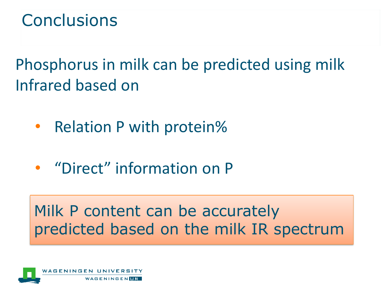## **Conclusions**

Phosphorus in milk can be predicted using milk Infrared based on

- Relation P with protein%
- "Direct" information on P

### Milk P content can be accurately predicted based on the milk IR spectrum